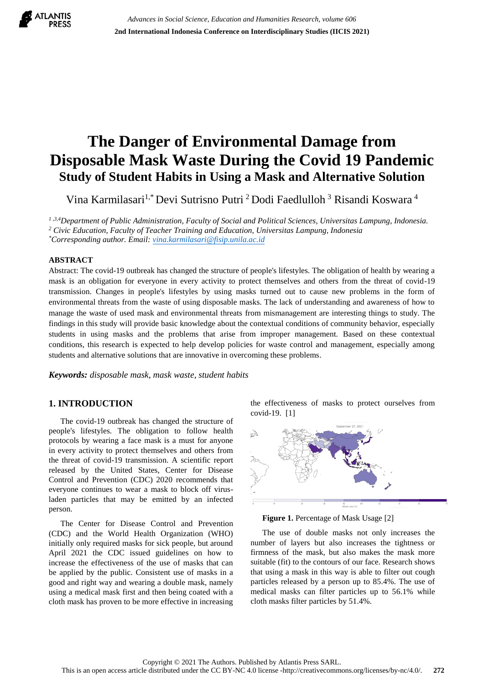

# **The Danger of Environmental Damage from Disposable Mask Waste During the Covid 19 Pandemic Study of Student Habits in Using a Mask and Alternative Solution**

Vina Karmilasari<sup>1,\*</sup> Devi Sutrisno Putri <sup>2</sup> Dodi Faedlulloh <sup>3</sup> Risandi Koswara <sup>4</sup>

*1 ,3,4Department of Public Administration, Faculty of Social and Political Sciences, Universitas Lampung, Indonesia. <sup>2</sup> Civic Education, Faculty of Teacher Training and Education, Universitas Lampung, Indonesia \*Corresponding author. Email[: vina.karmilasari@fisip.unila.ac.id](mailto:vina.karmilasari@fisip.unila.ac.id)*

**ABSTRACT** 

Abstract: The covid-19 outbreak has changed the structure of people's lifestyles. The obligation of health by wearing a mask is an obligation for everyone in every activity to protect themselves and others from the threat of covid-19 transmission. Changes in people's lifestyles by using masks turned out to cause new problems in the form of environmental threats from the waste of using disposable masks. The lack of understanding and awareness of how to manage the waste of used mask and environmental threats from mismanagement are interesting things to study. The findings in this study will provide basic knowledge about the contextual conditions of community behavior, especially students in using masks and the problems that arise from improper management. Based on these contextual conditions, this research is expected to help develop policies for waste control and management, especially among students and alternative solutions that are innovative in overcoming these problems.

*Keywords: disposable mask, mask waste, student habits* 

# **1. INTRODUCTION**

The covid-19 outbreak has changed the structure of people's lifestyles. The obligation to follow health protocols by wearing a face mask is a must for anyone in every activity to protect themselves and others from the threat of covid-19 transmission. A scientific report released by the United States, Center for Disease Control and Prevention (CDC) 2020 recommends that everyone continues to wear a mask to block off virusladen particles that may be emitted by an infected person.

The Center for Disease Control and Prevention (CDC) and the World Health Organization (WHO) initially only required masks for sick people, but around April 2021 the CDC issued guidelines on how to increase the effectiveness of the use of masks that can be applied by the public. Consistent use of masks in a good and right way and wearing a double mask, namely using a medical mask first and then being coated with a cloth mask has proven to be more effective in increasing the effectiveness of masks to protect ourselves from covid-19. [1]



**Figure 1.** Percentage of Mask Usage [2]

The use of double masks not only increases the number of layers but also increases the tightness or firmness of the mask, but also makes the mask more suitable (fit) to the contours of our face. Research shows that using a mask in this way is able to filter out cough particles released by a person up to 85.4%. The use of medical masks can filter particles up to 56.1% while cloth masks filter particles by 51.4%.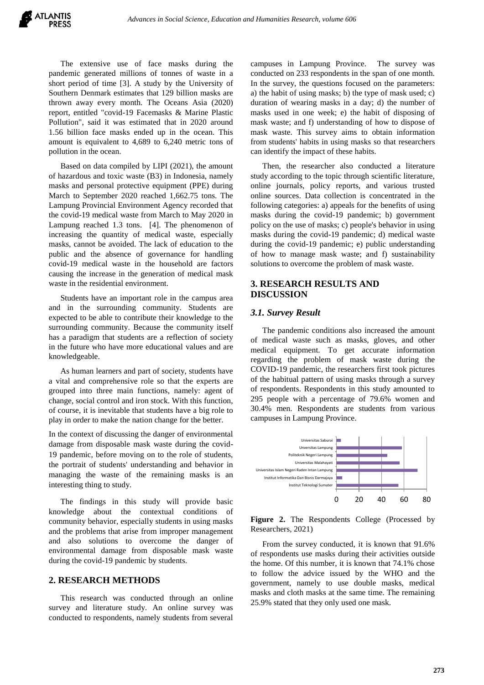The extensive use of face masks during the pandemic generated millions of tonnes of waste in a short period of time [3]. A study by the University of Southern Denmark estimates that 129 billion masks are thrown away every month. The Oceans Asia (2020) report, entitled "covid-19 Facemasks & Marine Plastic Pollution", said it was estimated that in 2020 around 1.56 billion face masks ended up in the ocean. This amount is equivalent to 4,689 to 6,240 metric tons of pollution in the ocean.

Based on data compiled by LIPI (2021), the amount of hazardous and toxic waste (B3) in Indonesia, namely masks and personal protective equipment (PPE) during March to September 2020 reached 1,662.75 tons. The Lampung Provincial Environment Agency recorded that the covid-19 medical waste from March to May 2020 in Lampung reached 1.3 tons. [4]. The phenomenon of increasing the quantity of medical waste, especially masks, cannot be avoided. The lack of education to the public and the absence of governance for handling covid-19 medical waste in the household are factors causing the increase in the generation of medical mask waste in the residential environment.

Students have an important role in the campus area and in the surrounding community. Students are expected to be able to contribute their knowledge to the surrounding community. Because the community itself has a paradigm that students are a reflection of society in the future who have more educational values and are knowledgeable.

As human learners and part of society, students have a vital and comprehensive role so that the experts are grouped into three main functions, namely: agent of change, social control and iron stock. With this function, of course, it is inevitable that students have a big role to play in order to make the nation change for the better.

In the context of discussing the danger of environmental damage from disposable mask waste during the covid-19 pandemic, before moving on to the role of students, the portrait of students' understanding and behavior in managing the waste of the remaining masks is an interesting thing to study.

The findings in this study will provide basic knowledge about the contextual conditions of community behavior, especially students in using masks and the problems that arise from improper management and also solutions to overcome the danger of environmental damage from disposable mask waste during the covid-19 pandemic by students.

### **2. RESEARCH METHODS**

This research was conducted through an online survey and literature study. An online survey was conducted to respondents, namely students from several

campuses in Lampung Province. The survey was conducted on 233 respondents in the span of one month. In the survey, the questions focused on the parameters: a) the habit of using masks; b) the type of mask used; c) duration of wearing masks in a day; d) the number of masks used in one week; e) the habit of disposing of mask waste; and f) understanding of how to dispose of mask waste. This survey aims to obtain information from students' habits in using masks so that researchers can identify the impact of these habits.

Then, the researcher also conducted a literature study according to the topic through scientific literature, online journals, policy reports, and various trusted online sources. Data collection is concentrated in the following categories: a) appeals for the benefits of using masks during the covid-19 pandemic; b) government policy on the use of masks; c) people's behavior in using masks during the covid-19 pandemic; d) medical waste during the covid-19 pandemic; e) public understanding of how to manage mask waste; and f) sustainability solutions to overcome the problem of mask waste.

# **3. RESEARCH RESULTS AND DISCUSSION**

#### *3.1. Survey Result*

The pandemic conditions also increased the amount of medical waste such as masks, gloves, and other medical equipment. To get accurate information regarding the problem of mask waste during the COVID-19 pandemic, the researchers first took pictures of the habitual pattern of using masks through a survey of respondents. Respondents in this study amounted to 295 people with a percentage of 79.6% women and 30.4% men. Respondents are students from various campuses in Lampung Province.



**Figure 2.** The Respondents College (Processed by Researchers, 2021)

From the survey conducted, it is known that 91.6% of respondents use masks during their activities outside the home. Of this number, it is known that 74.1% chose to follow the advice issued by the WHO and the government, namely to use double masks, medical masks and cloth masks at the same time. The remaining 25.9% stated that they only used one mask.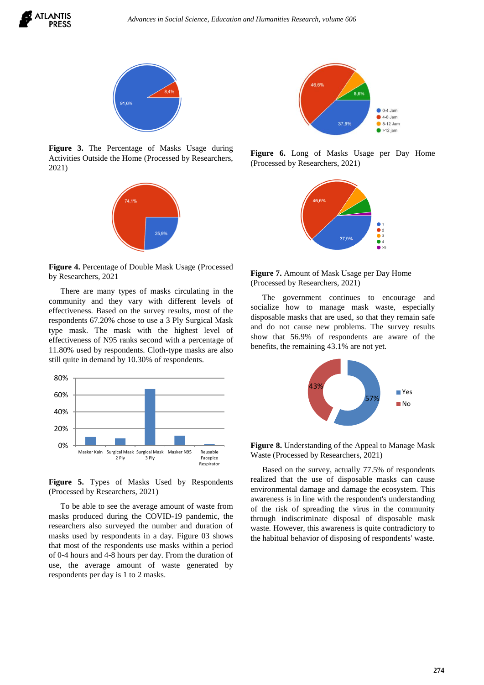



**Figure 3.** The Percentage of Masks Usage during Activities Outside the Home (Processed by Researchers, 2021)



**Figure 4.** Percentage of Double Mask Usage (Processed by Researchers, 2021

There are many types of masks circulating in the community and they vary with different levels of effectiveness. Based on the survey results, most of the respondents 67.20% chose to use a 3 Ply Surgical Mask type mask. The mask with the highest level of effectiveness of N95 ranks second with a percentage of 11.80% used by respondents. Cloth-type masks are also still quite in demand by 10.30% of respondents.



**Figure 5.** Types of Masks Used by Respondents (Processed by Researchers, 2021)

To be able to see the average amount of waste from masks produced during the COVID-19 pandemic, the researchers also surveyed the number and duration of masks used by respondents in a day. Figure 03 shows that most of the respondents use masks within a period of 0-4 hours and 4-8 hours per day. From the duration of use, the average amount of waste generated by respondents per day is 1 to 2 masks.



**Figure 6.** Long of Masks Usage per Day Home (Processed by Researchers, 2021)



**Figure 7.** Amount of Mask Usage per Day Home (Processed by Researchers, 2021)

The government continues to encourage and socialize how to manage mask waste, especially disposable masks that are used, so that they remain safe and do not cause new problems. The survey results show that 56.9% of respondents are aware of the benefits, the remaining 43.1% are not yet.



**Figure 8.** Understanding of the Appeal to Manage Mask Waste (Processed by Researchers, 2021)

Based on the survey, actually 77.5% of respondents realized that the use of disposable masks can cause environmental damage and damage the ecosystem. This awareness is in line with the respondent's understanding of the risk of spreading the virus in the community through indiscriminate disposal of disposable mask waste. However, this awareness is quite contradictory to the habitual behavior of disposing of respondents' waste.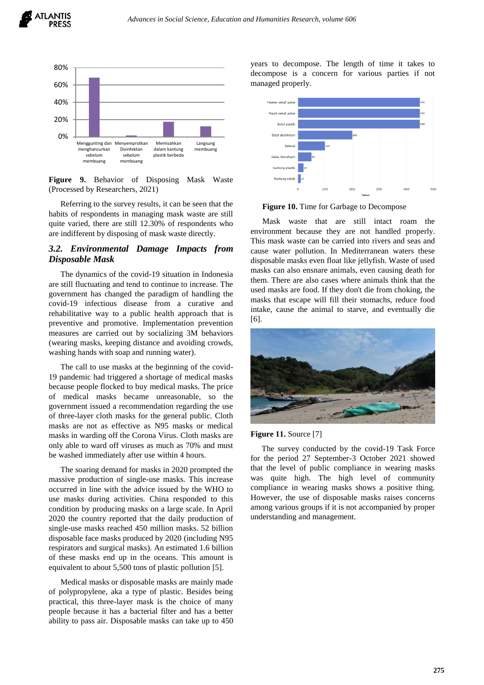



**Figure 9.** Behavior of Disposing Mask Waste (Processed by Researchers, 2021)

Referring to the survey results, it can be seen that the habits of respondents in managing mask waste are still quite varied, there are still 12.30% of respondents who are indifferent by disposing of mask waste directly.

## *3.2. Environmental Damage Impacts from Disposable Mask*

The dynamics of the covid-19 situation in Indonesia are still fluctuating and tend to continue to increase. The government has changed the paradigm of handling the covid-19 infectious disease from a curative and rehabilitative way to a public health approach that is preventive and promotive. Implementation prevention measures are carried out by socializing 3M behaviors (wearing masks, keeping distance and avoiding crowds, washing hands with soap and running water).

The call to use masks at the beginning of the covid-19 pandemic had triggered a shortage of medical masks because people flocked to buy medical masks. The price of medical masks became unreasonable, so the government issued a recommendation regarding the use of three-layer cloth masks for the general public. Cloth masks are not as effective as N95 masks or medical masks in warding off the Corona Virus. Cloth masks are only able to ward off viruses as much as 70% and must be washed immediately after use within 4 hours.

The soaring demand for masks in 2020 prompted the massive production of single-use masks. This increase occurred in line with the advice issued by the WHO to use masks during activities. China responded to this condition by producing masks on a large scale. In April 2020 the country reported that the daily production of single-use masks reached 450 million masks. 52 billion disposable face masks produced by 2020 (including N95 respirators and surgical masks). An estimated 1.6 billion of these masks end up in the oceans. This amount is equivalent to about 5,500 tons of plastic pollution [5].

Medical masks or disposable masks are mainly made of polypropylene, aka a type of plastic. Besides being practical, this three-layer mask is the choice of many people because it has a bacterial filter and has a better ability to pass air. Disposable masks can take up to 450 years to decompose. The length of time it takes to decompose is a concern for various parties if not managed properly.



**Figure 10.** Time for Garbage to Decompose

Mask waste that are still intact roam the environment because they are not handled properly. This mask waste can be carried into rivers and seas and cause water pollution. In Mediterranean waters these disposable masks even float like jellyfish. Waste of used masks can also ensnare animals, even causing death for them. There are also cases where animals think that the used masks are food. If they don't die from choking, the masks that escape will fill their stomachs, reduce food intake, cause the animal to starve, and eventually die [6].



#### **Figure 11.** Source [7]

The survey conducted by the covid-19 Task Force for the period 27 September-3 October 2021 showed that the level of public compliance in wearing masks was quite high. The high level of community compliance in wearing masks shows a positive thing. However, the use of disposable masks raises concerns among various groups if it is not accompanied by proper understanding and management.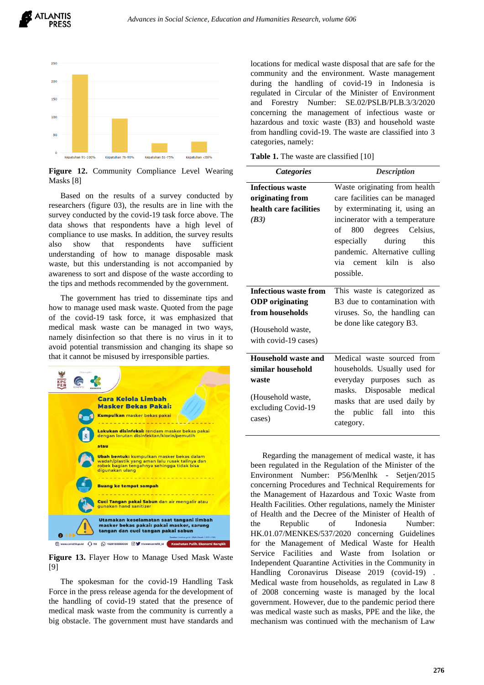



**Figure 12.** Community Compliance Level Wearing Masks [8]

Based on the results of a survey conducted by researchers (figure 03), the results are in line with the survey conducted by the covid-19 task force above. The data shows that respondents have a high level of compliance to use masks. In addition, the survey results also show that respondents have sufficient understanding of how to manage disposable mask waste, but this understanding is not accompanied by awareness to sort and dispose of the waste according to the tips and methods recommended by the government.

The government has tried to disseminate tips and how to manage used mask waste. Quoted from the page of the covid-19 task force, it was emphasized that medical mask waste can be managed in two ways, namely disinfection so that there is no virus in it to avoid potential transmission and changing its shape so that it cannot be misused by irresponsible parties.



**Figure 13.** Flayer How to Manage Used Mask Waste [9]

The spokesman for the covid-19 Handling Task Force in the press release agenda for the development of the handling of covid-19 stated that the presence of medical mask waste from the community is currently a big obstacle. The government must have standards and locations for medical waste disposal that are safe for the community and the environment. Waste management during the handling of covid-19 in Indonesia is regulated in Circular of the Minister of Environment and Forestry Number: SE.02/PSLB/PLB.3/3/2020 concerning the management of infectious waste or hazardous and toxic waste (B3) and household waste from handling covid-19. The waste are classified into 3 categories, namely:

**Table 1.** The waste are classified [10]

| <b>Categories</b>                                                                                             | <b>Description</b>                                                                                                                                                                                                                                                                                           |
|---------------------------------------------------------------------------------------------------------------|--------------------------------------------------------------------------------------------------------------------------------------------------------------------------------------------------------------------------------------------------------------------------------------------------------------|
| <b>Infectious waste</b><br>originating from<br>health care facilities<br>(B3)<br><b>Infectious waste from</b> | Waste originating from health<br>care facilities can be managed<br>by exterminating it, using an<br>incinerator with a temperature<br>800 degrees Celsius,<br>of<br>especially<br>during<br>this<br>pandemic. Alternative culling<br>via cement kiln is<br>also<br>possible.<br>This waste is categorized as |
| <b>ODP</b> originating<br>from households<br>(Household waste,<br>with covid-19 cases)                        | B3 due to contamination with<br>viruses. So, the handling can<br>be done like category B3.                                                                                                                                                                                                                   |
| Household waste and<br>similar household<br>waste<br>(Household waste,<br>excluding Covid-19<br>cases)        | Medical waste sourced from<br>households. Usually used for<br>everyday purposes such as<br>masks. Disposable medical<br>masks that are used daily by<br>the public fall into<br>this<br>category.                                                                                                            |

Regarding the management of medical waste, it has been regulated in the Regulation of the Minister of the Environment Number: P56/Menlhk - Setjen/2015 concerning Procedures and Technical Requirements for the Management of Hazardous and Toxic Waste from Health Facilities. Other regulations, namely the Minister of Health and the Decree of the Minister of Health of the Republic of Indonesia Number: HK.01.07/MENKES/537/2020 concerning Guidelines for the Management of Medical Waste for Health Service Facilities and Waste from Isolation or Independent Quarantine Activities in the Community in Handling Coronavirus Disease 2019 (covid-19) . Medical waste from households, as regulated in Law 8 of 2008 concerning waste is managed by the local government. However, due to the pandemic period there was medical waste such as masks, PPE and the like, the mechanism was continued with the mechanism of Law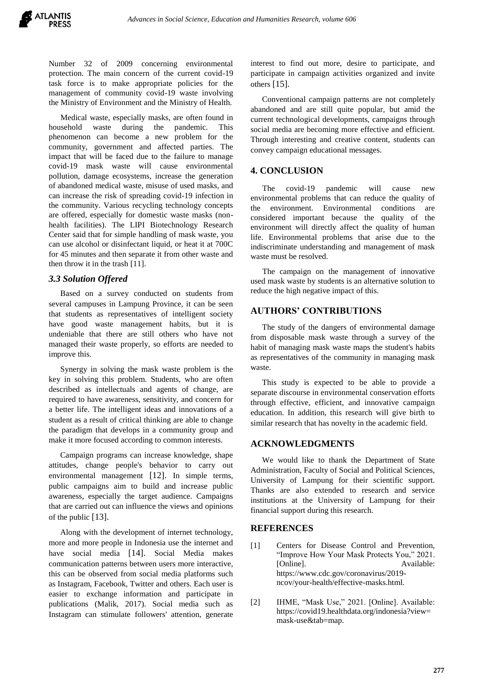Number 32 of 2009 concerning environmental protection. The main concern of the current covid-19 task force is to make appropriate policies for the management of community covid-19 waste involving the Ministry of Environment and the Ministry of Health.

Medical waste, especially masks, are often found in household waste during the pandemic. This phenomenon can become a new problem for the community, government and affected parties. The impact that will be faced due to the failure to manage covid-19 mask waste will cause environmental pollution, damage ecosystems, increase the generation of abandoned medical waste, misuse of used masks, and can increase the risk of spreading covid-19 infection in the community. Various recycling technology concepts are offered, especially for domestic waste masks (nonhealth facilities). The LIPI Biotechnology Research Center said that for simple handling of mask waste, you can use alcohol or disinfectant liquid, or heat it at 700C for 45 minutes and then separate it from other waste and then throw it in the trash [11].

## *3.3 Solution Offered*

Based on a survey conducted on students from several campuses in Lampung Province, it can be seen that students as representatives of intelligent society have good waste management habits, but it is undeniable that there are still others who have not managed their waste properly, so efforts are needed to improve this.

Synergy in solving the mask waste problem is the key in solving this problem. Students, who are often described as intellectuals and agents of change, are required to have awareness, sensitivity, and concern for a better life. The intelligent ideas and innovations of a student as a result of critical thinking are able to change the paradigm that develops in a community group and make it more focused according to common interests.

Campaign programs can increase knowledge, shape attitudes, change people's behavior to carry out environmental management [12]. In simple terms, public campaigns aim to build and increase public awareness, especially the target audience. Campaigns that are carried out can influence the views and opinions of the public [13].

Along with the development of internet technology, more and more people in Indonesia use the internet and have social media [14]. Social Media makes communication patterns between users more interactive, this can be observed from social media platforms such as Instagram, Facebook, Twitter and others. Each user is easier to exchange information and participate in publications (Malik, 2017). Social media such as Instagram can stimulate followers' attention, generate interest to find out more, desire to participate, and participate in campaign activities organized and invite others [15].

Conventional campaign patterns are not completely abandoned and are still quite popular, but amid the current technological developments, campaigns through social media are becoming more effective and efficient. Through interesting and creative content, students can convey campaign educational messages.

## **4. CONCLUSION**

The covid-19 pandemic will cause new environmental problems that can reduce the quality of the environment. Environmental conditions are considered important because the quality of the environment will directly affect the quality of human life. Environmental problems that arise due to the indiscriminate understanding and management of mask waste must be resolved.

The campaign on the management of innovative used mask waste by students is an alternative solution to reduce the high negative impact of this.

## **AUTHORS' CONTRIBUTIONS**

The study of the dangers of environmental damage from disposable mask waste through a survey of the habit of managing mask waste maps the student's habits as representatives of the community in managing mask waste.

This study is expected to be able to provide a separate discourse in environmental conservation efforts through effective, efficient, and innovative campaign education. In addition, this research will give birth to similar research that has novelty in the academic field.

# **ACKNOWLEDGMENTS**

We would like to thank the Department of State Administration, Faculty of Social and Political Sciences, University of Lampung for their scientific support. Thanks are also extended to research and service institutions at the University of Lampung for their financial support during this research.

## **REFERENCES**

- [1] Centers for Disease Control and Prevention, "Improve How Your Mask Protects You," 2021. [Online]. Available: https://www.cdc.gov/coronavirus/2019 ncov/your-health/effective-masks.html.
- [2] IHME, "Mask Use," 2021. [Online]. Available: https://covid19.healthdata.org/indonesia?view= mask-use&tab=map.